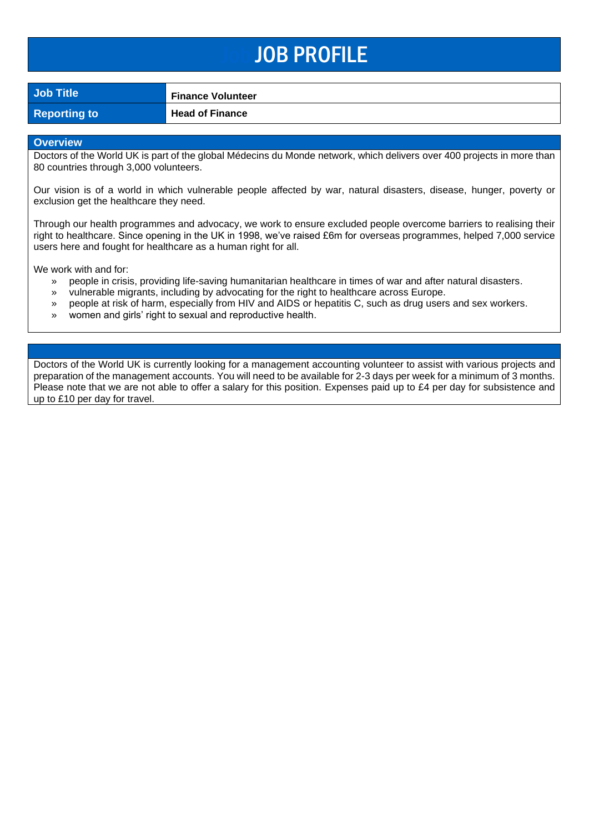## Job JOB PROFILE

**Job Title Finance Volunteer**

**Reporting to <b>Head of Finance** 

#### **Overview**

Doctors of the World UK is part of the global Médecins du Monde network, which delivers over 400 projects in more than 80 countries through 3,000 volunteers.

Our vision is of a world in which vulnerable people affected by war, natural disasters, disease, hunger, poverty or exclusion get the healthcare they need.

Through our health programmes and advocacy, we work to ensure excluded people overcome barriers to realising their right to healthcare. Since opening in the UK in 1998, we've raised £6m for overseas programmes, helped 7,000 service users here and fought for healthcare as a human right for all.

We work with and for:

- » people in crisis, providing life-saving humanitarian healthcare in times of war and after natural disasters.
- » vulnerable migrants, including by advocating for the right to healthcare across Europe.
- » people at risk of harm, especially from HIV and AIDS or hepatitis C, such as drug users and sex workers.
- » women and girls' right to sexual and reproductive health.

Doctors of the World UK is currently looking for a management accounting volunteer to assist with various projects and preparation of the management accounts. You will need to be available for 2-3 days per week for a minimum of 3 months. Please note that we are not able to offer a salary for this position. Expenses paid up to £4 per day for subsistence and up to £10 per day for travel.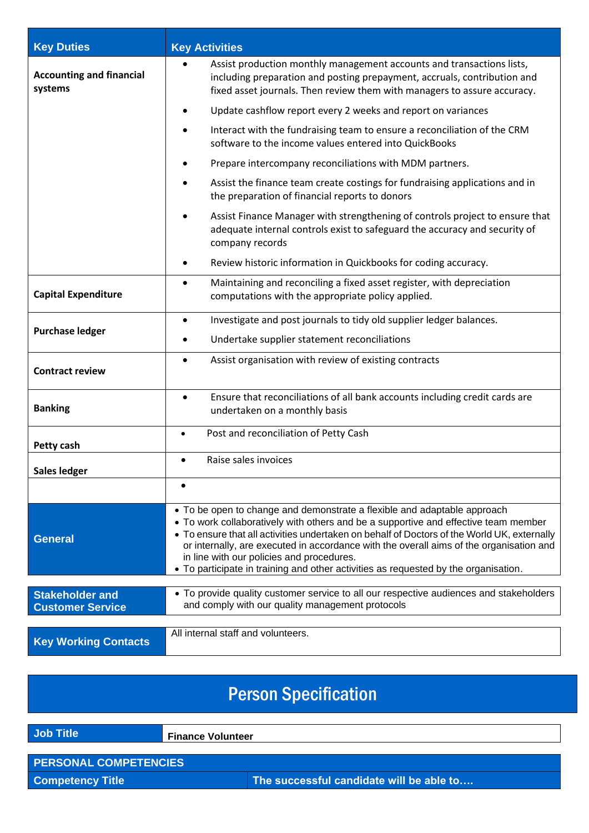| <b>Key Duties</b>                                 | <b>Key Activities</b>                                                                                                                                                                                                                                                                                                                                                                                                                                                                         |  |
|---------------------------------------------------|-----------------------------------------------------------------------------------------------------------------------------------------------------------------------------------------------------------------------------------------------------------------------------------------------------------------------------------------------------------------------------------------------------------------------------------------------------------------------------------------------|--|
| <b>Accounting and financial</b><br>systems        | Assist production monthly management accounts and transactions lists,<br>including preparation and posting prepayment, accruals, contribution and<br>fixed asset journals. Then review them with managers to assure accuracy.                                                                                                                                                                                                                                                                 |  |
|                                                   | Update cashflow report every 2 weeks and report on variances                                                                                                                                                                                                                                                                                                                                                                                                                                  |  |
|                                                   | Interact with the fundraising team to ensure a reconciliation of the CRM<br>software to the income values entered into QuickBooks                                                                                                                                                                                                                                                                                                                                                             |  |
|                                                   | Prepare intercompany reconciliations with MDM partners.                                                                                                                                                                                                                                                                                                                                                                                                                                       |  |
|                                                   | Assist the finance team create costings for fundraising applications and in<br>the preparation of financial reports to donors                                                                                                                                                                                                                                                                                                                                                                 |  |
|                                                   | Assist Finance Manager with strengthening of controls project to ensure that<br>adequate internal controls exist to safeguard the accuracy and security of<br>company records                                                                                                                                                                                                                                                                                                                 |  |
|                                                   | Review historic information in Quickbooks for coding accuracy.<br>٠                                                                                                                                                                                                                                                                                                                                                                                                                           |  |
| <b>Capital Expenditure</b>                        | Maintaining and reconciling a fixed asset register, with depreciation<br>$\bullet$<br>computations with the appropriate policy applied.                                                                                                                                                                                                                                                                                                                                                       |  |
| <b>Purchase ledger</b>                            | Investigate and post journals to tidy old supplier ledger balances.<br>$\bullet$                                                                                                                                                                                                                                                                                                                                                                                                              |  |
|                                                   | Undertake supplier statement reconciliations<br>٠                                                                                                                                                                                                                                                                                                                                                                                                                                             |  |
| <b>Contract review</b>                            | Assist organisation with review of existing contracts<br>٠                                                                                                                                                                                                                                                                                                                                                                                                                                    |  |
| <b>Banking</b>                                    | Ensure that reconciliations of all bank accounts including credit cards are<br>$\bullet$<br>undertaken on a monthly basis                                                                                                                                                                                                                                                                                                                                                                     |  |
| <b>Petty cash</b>                                 | Post and reconciliation of Petty Cash<br>$\bullet$                                                                                                                                                                                                                                                                                                                                                                                                                                            |  |
| Sales ledger                                      | Raise sales invoices                                                                                                                                                                                                                                                                                                                                                                                                                                                                          |  |
|                                                   |                                                                                                                                                                                                                                                                                                                                                                                                                                                                                               |  |
| <b>General</b>                                    | • To be open to change and demonstrate a flexible and adaptable approach<br>• To work collaboratively with others and be a supportive and effective team member<br>• To ensure that all activities undertaken on behalf of Doctors of the World UK, externally<br>or internally, are executed in accordance with the overall aims of the organisation and<br>in line with our policies and procedures.<br>• To participate in training and other activities as requested by the organisation. |  |
| <b>Stakeholder and</b><br><b>Customer Service</b> | • To provide quality customer service to all our respective audiences and stakeholders<br>and comply with our quality management protocols                                                                                                                                                                                                                                                                                                                                                    |  |
| <b>Key Working Contacts</b>                       | All internal staff and volunteers.                                                                                                                                                                                                                                                                                                                                                                                                                                                            |  |

# Person Specification **Job Title Finance Volunteer PERSONAL COMPETENCIES Competency Title The successful candidate will be able to....**